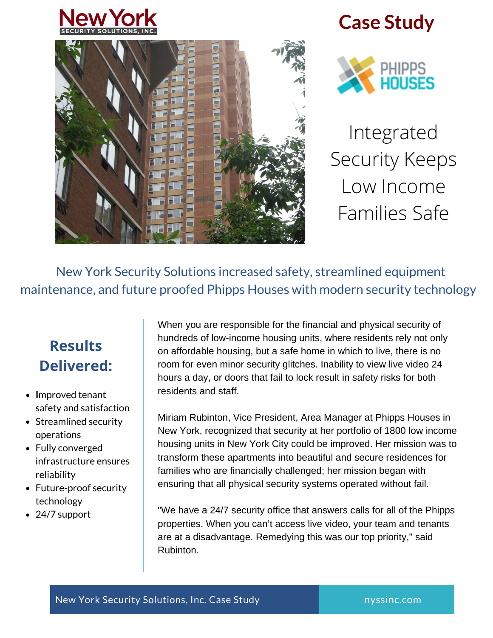



## **Case Study**



Integrated Security Keeps Low Income Families Safe

New York Security Solutions increased safety, streamlined equipment maintenance, and future proofed Phipps Houses with modern security technology

### **Results Delivered:**

- **I**mproved tenant safety and satisfaction
- Streamlined security operations
- Fully converged infrastructure ensures reliability
- Future-proof security technology
- 24/7 support

When you are responsible for the financial and physical security of hundreds of low-income housing units, where residents rely not only on affordable housing, but a safe home in which to live, there is no room for even minor security glitches. Inability to view live video 24 hours a day, or doors that fail to lock result in safety risks for both residents and staff.

Miriam Rubinton, Vice President, Area Manager at Phipps Houses in New York, recognized that security at her portfolio of 1800 low income housing units in New York City could be improved. Her mission was to transform these apartments into beautiful and secure residences for families who are financially challenged; her mission began with ensuring that all physical security systems operated without fail.

"We have a 24/7 security office that answers calls for all of the Phipps properties. When you can't access live video, your team and tenants are at a disadvantage. Remedying this was our top priority," said Rubinton.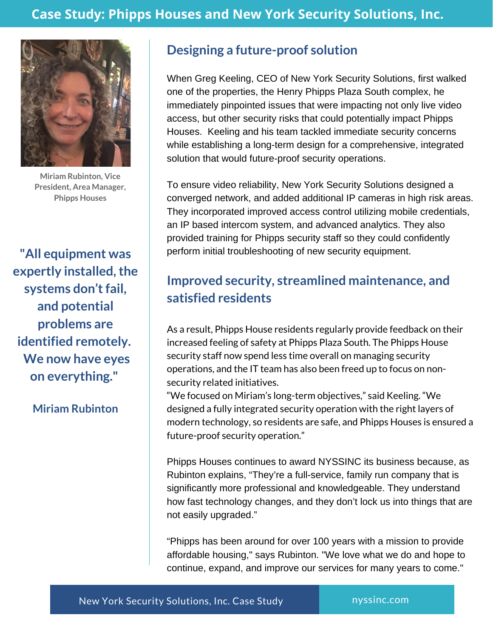

**Miriam Rubinton, Vice President, Area Manager, Phipps Houses**

**"All equipment was expertly installed,the systems don'tfail, and potential problems are identified remotely. We now have eyes on everything."**

**Miriam Rubinton**

#### **Designing a future-proof solution**

When Greg Keeling, CEO of New York Security Solutions, first walked one of the properties, the Henry Phipps Plaza South complex, he immediately pinpointed issues that were impacting not only live video access, but other security risks that could potentially impact Phipps Houses. Keeling and his team tackled immediate security concerns while establishing a long-term design for a comprehensive, integrated solution that would future-proof security operations.

To ensure video reliability, New York Security Solutions designed a converged network, and added additional IP cameras in high risk areas. They incorporated improved access control utilizing mobile credentials, an IP based intercom system, and advanced analytics. They also provided training for Phipps security staff so they could confidently perform initial troubleshooting of new security equipment.

#### **Improved security, streamlined maintenance, and satisfied residents**

As a result, Phipps House residents regularly provide feedback on their increased feeling of safety at Phipps Plaza South. The Phipps House security staff now spend less time overall on managing security operations, and the IT team has also been freed up to focus on nonsecurity related initiatives.

"We focused on Miriam's long-term objectives," said Keeling. "We designed a fully integrated security operation with the right layers of modern technology, so residents are safe, and Phipps Houses is ensured a future-proof security operation."

Phipps Houses continues to award NYSSINC its business because, as Rubinton explains, "They're a full-service, family run company that is significantly more professional and knowledgeable. They understand how fast technology changes, and they don't lock us into things that are not easily upgraded."

"Phipps has been around for over 100 years with a mission to provide affordable housing," says Rubinton. "We love what we do and hope to continue, expand, and improve our services for many years to come."